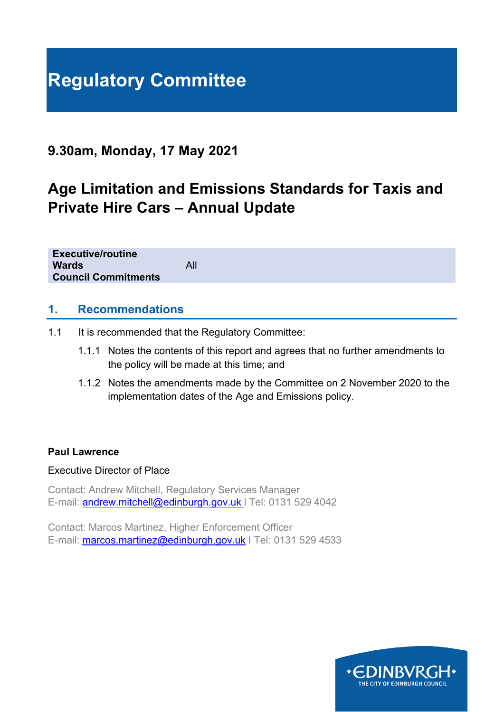# **Regulatory Committee**

# **9.30am, Monday, 17 May 2021**

# **Age Limitation and Emissions Standards for Taxis and Private Hire Cars – Annual Update**

**Executive/routine Wards** All **Council Commitments**

#### **1. Recommendations**

- 1.1 It is recommended that the Regulatory Committee:
	- 1.1.1 Notes the contents of this report and agrees that no further amendments to the policy will be made at this time; and
	- 1.1.2 Notes the amendments made by the Committee on 2 November 2020 to the implementation dates of the Age and Emissions policy.

#### **Paul Lawrence**

#### Executive Director of Place

Contact: Andrew Mitchell, Regulatory Services Manager E-mail: [andrew.mitchell@edinburgh.gov.uk](mailto:andrew.mitchell@edinburgh.gov.uk) l Tel: 0131 529 4042

Contact: Marcos Martinez, Higher Enforcement Officer E-mail: [marcos.martinez@edinburgh.gov.uk](mailto:marcos.martinez@edinburgh.gov.uk) | Tel: 0131 529 4533

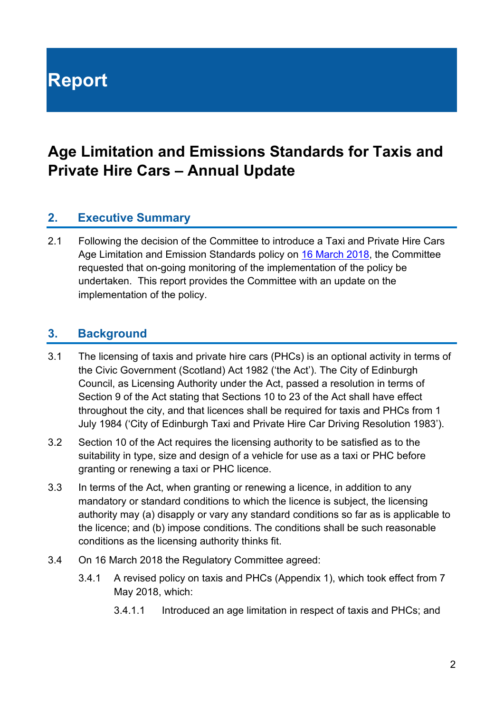**Report**

# **Age Limitation and Emissions Standards for Taxis and Private Hire Cars – Annual Update**

# **2. Executive Summary**

2.1 Following the decision of the Committee to introduce a Taxi and Private Hire Cars Age Limitation and Emission Standards policy on [16 March 2018,](https://democracy.edinburgh.gov.uk/CeListDocuments.aspx?CommitteeId=144&MeetingId=4148&DF=16%2f03%2f2018&Ver=2) the Committee requested that on-going monitoring of the implementation of the policy be undertaken. This report provides the Committee with an update on the implementation of the policy.

# **3. Background**

- 3.1 The licensing of taxis and private hire cars (PHCs) is an optional activity in terms of the Civic Government (Scotland) Act 1982 ('the Act'). The City of Edinburgh Council, as Licensing Authority under the Act, passed a resolution in terms of Section 9 of the Act stating that Sections 10 to 23 of the Act shall have effect throughout the city, and that licences shall be required for taxis and PHCs from 1 July 1984 ('City of Edinburgh Taxi and Private Hire Car Driving Resolution 1983').
- 3.2 Section 10 of the Act requires the licensing authority to be satisfied as to the suitability in type, size and design of a vehicle for use as a taxi or PHC before granting or renewing a taxi or PHC licence.
- 3.3 In terms of the Act, when granting or renewing a licence, in addition to any mandatory or standard conditions to which the licence is subject, the licensing authority may (a) disapply or vary any standard conditions so far as is applicable to the licence; and (b) impose conditions. The conditions shall be such reasonable conditions as the licensing authority thinks fit.
- 3.4 On 16 March 2018 the Regulatory Committee agreed:
	- 3.4.1 A revised policy on taxis and PHCs (Appendix 1), which took effect from 7 May 2018, which:
		- 3.4.1.1 Introduced an age limitation in respect of taxis and PHCs; and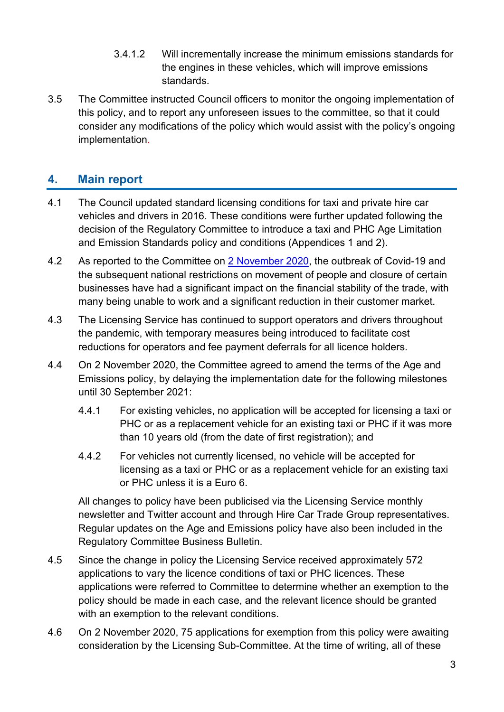- 3.4.1.2 Will incrementally increase the minimum emissions standards for the engines in these vehicles, which will improve emissions standards.
- 3.5 The Committee instructed Council officers to monitor the ongoing implementation of this policy, and to report any unforeseen issues to the committee, so that it could consider any modifications of the policy which would assist with the policy's ongoing implementation.

# **4. Main report**

- 4.1 The Council updated standard licensing conditions for taxi and private hire car vehicles and drivers in 2016. These conditions were further updated following the decision of the Regulatory Committee to introduce a taxi and PHC Age Limitation and Emission Standards policy and conditions (Appendices 1 and 2).
- 4.2 As reported to the Committee on [2 November 2020,](https://democracy.edinburgh.gov.uk/documents/s28391/7.1%20-%20Coronavirus%20COVID-19%20Contingency%20Measures%20Update%20Report.pdf) the outbreak of Covid-19 and the subsequent national restrictions on movement of people and closure of certain businesses have had a significant impact on the financial stability of the trade, with many being unable to work and a significant reduction in their customer market.
- 4.3 The Licensing Service has continued to support operators and drivers throughout the pandemic, with temporary measures being introduced to facilitate cost reductions for operators and fee payment deferrals for all licence holders.
- 4.4 On 2 November 2020, the Committee agreed to amend the terms of the Age and Emissions policy, by delaying the implementation date for the following milestones until 30 September 2021:
	- 4.4.1 For existing vehicles, no application will be accepted for licensing a taxi or PHC or as a replacement vehicle for an existing taxi or PHC if it was more than 10 years old (from the date of first registration); and
	- 4.4.2 For vehicles not currently licensed, no vehicle will be accepted for licensing as a taxi or PHC or as a replacement vehicle for an existing taxi or PHC unless it is a Euro 6.

All changes to policy have been publicised via the Licensing Service monthly newsletter and Twitter account and through Hire Car Trade Group representatives. Regular updates on the Age and Emissions policy have also been included in the Regulatory Committee Business Bulletin.

- 4.5 Since the change in policy the Licensing Service received approximately 572 applications to vary the licence conditions of taxi or PHC licences. These applications were referred to Committee to determine whether an exemption to the policy should be made in each case, and the relevant licence should be granted with an exemption to the relevant conditions.
- 4.6 On 2 November 2020, 75 applications for exemption from this policy were awaiting consideration by the Licensing Sub-Committee. At the time of writing, all of these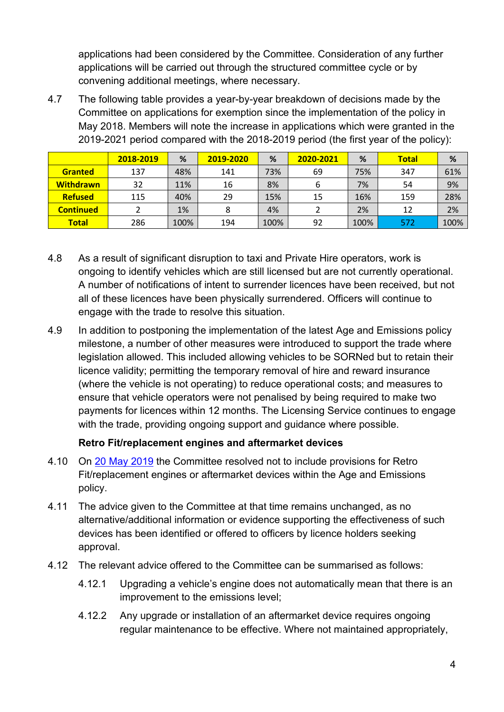applications had been considered by the Committee. Consideration of any further applications will be carried out through the structured committee cycle or by convening additional meetings, where necessary.

4.7 The following table provides a year-by-year breakdown of decisions made by the Committee on applications for exemption since the implementation of the policy in May 2018. Members will note the increase in applications which were granted in the 2019-2021 period compared with the 2018-2019 period (the first year of the policy):

|                  | 2018-2019 | %    | 2019-2020 | %    | 2020-2021 | %    | <b>Total</b> | %    |
|------------------|-----------|------|-----------|------|-----------|------|--------------|------|
| <b>Granted</b>   | 137       | 48%  | 141       | 73%  | 69        | 75%  | 347          | 61%  |
| <b>Withdrawn</b> | 32        | 11%  | 16        | 8%   | 6         | 7%   | 54           | 9%   |
| <b>Refused</b>   | 115       | 40%  | 29        | 15%  | 15        | 16%  | 159          | 28%  |
| <b>Continued</b> |           | 1%   | 8         | 4%   |           | 2%   | 12           | 2%   |
| <b>Total</b>     | 286       | 100% | 194       | 100% | 92        | 100% | 572          | 100% |

- 4.8 As a result of significant disruption to taxi and Private Hire operators, work is ongoing to identify vehicles which are still licensed but are not currently operational. A number of notifications of intent to surrender licences have been received, but not all of these licences have been physically surrendered. Officers will continue to engage with the trade to resolve this situation.
- 4.9 In addition to postponing the implementation of the latest Age and Emissions policy milestone, a number of other measures were introduced to support the trade where legislation allowed. This included allowing vehicles to be SORNed but to retain their licence validity; permitting the temporary removal of hire and reward insurance (where the vehicle is not operating) to reduce operational costs; and measures to ensure that vehicle operators were not penalised by being required to make two payments for licences within 12 months. The Licensing Service continues to engage with the trade, providing ongoing support and guidance where possible.

#### **Retro Fit/replacement engines and aftermarket devices**

- 4.10 On [20 May 2019](https://democracy.edinburgh.gov.uk/Data/Regulatory%20Committee/20190520/Agenda/item_71_-_age_limitation_and_emissions_standards_for_taxis_and_private_hire_cars_-_update.pdf) the Committee resolved not to include provisions for Retro Fit/replacement engines or aftermarket devices within the Age and Emissions policy.
- 4.11 The advice given to the Committee at that time remains unchanged, as no alternative/additional information or evidence supporting the effectiveness of such devices has been identified or offered to officers by licence holders seeking approval.
- 4.12 The relevant advice offered to the Committee can be summarised as follows:
	- 4.12.1 Upgrading a vehicle's engine does not automatically mean that there is an improvement to the emissions level;
	- 4.12.2 Any upgrade or installation of an aftermarket device requires ongoing regular maintenance to be effective. Where not maintained appropriately,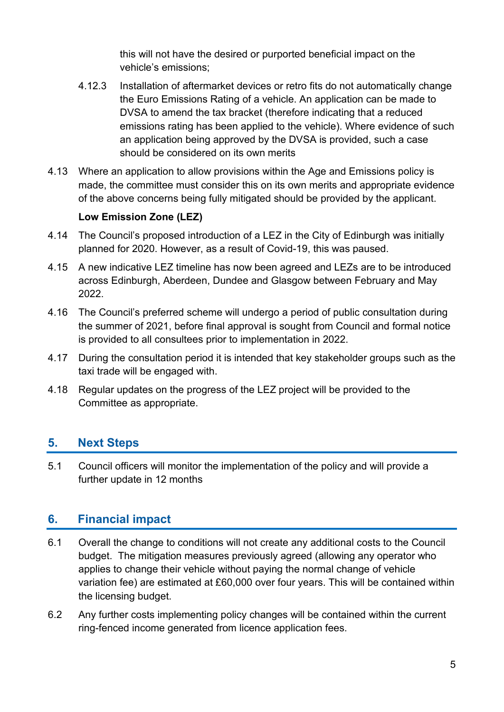this will not have the desired or purported beneficial impact on the vehicle's emissions;

- 4.12.3 Installation of aftermarket devices or retro fits do not automatically change the Euro Emissions Rating of a vehicle. An application can be made to DVSA to amend the tax bracket (therefore indicating that a reduced emissions rating has been applied to the vehicle). Where evidence of such an application being approved by the DVSA is provided, such a case should be considered on its own merits
- 4.13 Where an application to allow provisions within the Age and Emissions policy is made, the committee must consider this on its own merits and appropriate evidence of the above concerns being fully mitigated should be provided by the applicant.

#### **Low Emission Zone (LEZ)**

- 4.14 The Council's proposed introduction of a LEZ in the City of Edinburgh was initially planned for 2020. However, as a result of Covid-19, this was paused.
- 4.15 A new indicative LEZ timeline has now been agreed and LEZs are to be introduced across Edinburgh, Aberdeen, Dundee and Glasgow between February and May 2022.
- 4.16 The Council's preferred scheme will undergo a period of public consultation during the summer of 2021, before final approval is sought from Council and formal notice is provided to all consultees prior to implementation in 2022.
- 4.17 During the consultation period it is intended that key stakeholder groups such as the taxi trade will be engaged with.
- 4.18 Regular updates on the progress of the LEZ project will be provided to the Committee as appropriate.

# **5. Next Steps**

5.1 Council officers will monitor the implementation of the policy and will provide a further update in 12 months

# **6. Financial impact**

- 6.1 Overall the change to conditions will not create any additional costs to the Council budget. The mitigation measures previously agreed (allowing any operator who applies to change their vehicle without paying the normal change of vehicle variation fee) are estimated at £60,000 over four years. This will be contained within the licensing budget.
- 6.2 Any further costs implementing policy changes will be contained within the current ring-fenced income generated from licence application fees.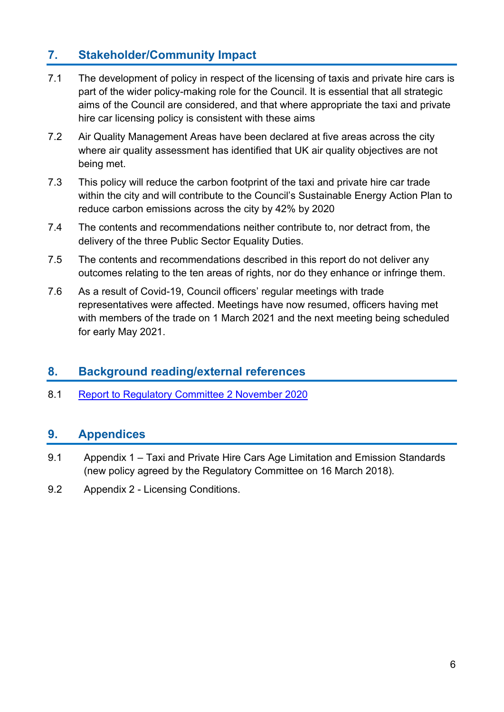# **7. Stakeholder/Community Impact**

- 7.1 The development of policy in respect of the licensing of taxis and private hire cars is part of the wider policy-making role for the Council. It is essential that all strategic aims of the Council are considered, and that where appropriate the taxi and private hire car licensing policy is consistent with these aims
- 7.2 Air Quality Management Areas have been declared at five areas across the city where air quality assessment has identified that UK air quality objectives are not being met.
- 7.3 This policy will reduce the carbon footprint of the taxi and private hire car trade within the city and will contribute to the Council's Sustainable Energy Action Plan to reduce carbon emissions across the city by 42% by 2020
- 7.4 The contents and recommendations neither contribute to, nor detract from, the delivery of the three Public Sector Equality Duties.
- 7.5 The contents and recommendations described in this report do not deliver any outcomes relating to the ten areas of rights, nor do they enhance or infringe them.
- 7.6 As a result of Covid-19, Council officers' regular meetings with trade representatives were affected. Meetings have now resumed, officers having met with members of the trade on 1 March 2021 and the next meeting being scheduled for early May 2021.

# **8. Background reading/external references**

8.1 [Report to Regulatory Committee 2 November 2020](https://democracy.edinburgh.gov.uk/documents/s28391/7.1%20-%20Coronavirus%20COVID-19%20Contingency%20Measures%20Update%20Report.pdf)

# **9. Appendices**

- 9.1 Appendix 1 Taxi and Private Hire Cars Age Limitation and Emission Standards (new policy agreed by the Regulatory Committee on 16 March 2018).
- 9.2 Appendix 2 Licensing Conditions.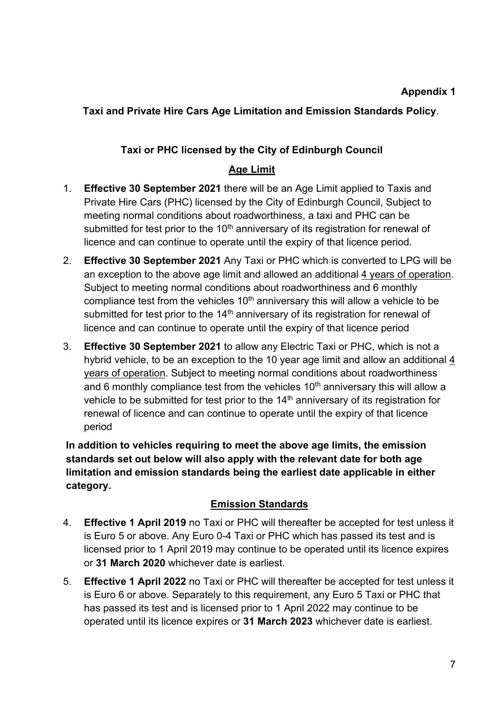#### **Appendix 1**

# **Taxi and Private Hire Cars Age Limitation and Emission Standards Policy**.

#### **Taxi or PHC licensed by the City of Edinburgh Council**

## **Age Limit**

- 1. **Effective 30 September 2021** there will be an Age Limit applied to Taxis and Private Hire Cars (PHC) licensed by the City of Edinburgh Council, Subject to meeting normal conditions about roadworthiness, a taxi and PHC can be submitted for test prior to the  $10<sup>th</sup>$  anniversary of its registration for renewal of licence and can continue to operate until the expiry of that licence period.
- 2. **Effective 30 September 2021** Any Taxi or PHC which is converted to LPG will be an exception to the above age limit and allowed an additional 4 years of operation. Subject to meeting normal conditions about roadworthiness and 6 monthly compliance test from the vehicles  $10<sup>th</sup>$  anniversary this will allow a vehicle to be submitted for test prior to the  $14<sup>th</sup>$  anniversary of its registration for renewal of licence and can continue to operate until the expiry of that licence period
- 3. **Effective 30 September 2021** to allow any Electric Taxi or PHC, which is not a hybrid vehicle, to be an exception to the 10 year age limit and allow an additional 4 years of operation. Subject to meeting normal conditions about roadworthiness and 6 monthly compliance test from the vehicles  $10<sup>th</sup>$  anniversary this will allow a vehicle to be submitted for test prior to the  $14<sup>th</sup>$  anniversary of its registration for renewal of licence and can continue to operate until the expiry of that licence period

**In addition to vehicles requiring to meet the above age limits, the emission standards set out below will also apply with the relevant date for both age limitation and emission standards being the earliest date applicable in either category.**

#### **Emission Standards**

- 4. **Effective 1 April 2019** no Taxi or PHC will thereafter be accepted for test unless it is Euro 5 or above. Any Euro 0-4 Taxi or PHC which has passed its test and is licensed prior to 1 April 2019 may continue to be operated until its licence expires or **31 March 2020** whichever date is earliest.
- 5. **Effective 1 April 2022** no Taxi or PHC will thereafter be accepted for test unless it is Euro 6 or above. Separately to this requirement, any Euro 5 Taxi or PHC that has passed its test and is licensed prior to 1 April 2022 may continue to be operated until its licence expires or **31 March 2023** whichever date is earliest.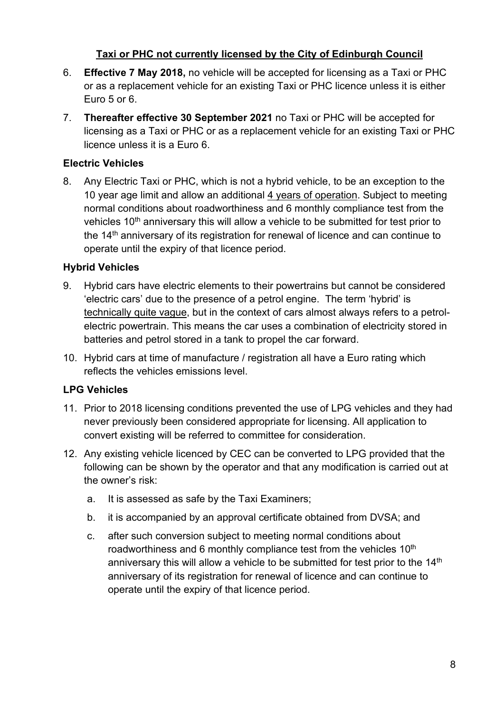#### **Taxi or PHC not currently licensed by the City of Edinburgh Council**

- 6. **Effective 7 May 2018,** no vehicle will be accepted for licensing as a Taxi or PHC or as a replacement vehicle for an existing Taxi or PHC licence unless it is either Euro 5 or 6.
- 7. **Thereafter effective 30 September 2021** no Taxi or PHC will be accepted for licensing as a Taxi or PHC or as a replacement vehicle for an existing Taxi or PHC licence unless it is a Euro 6.

## **Electric Vehicles**

8. Any Electric Taxi or PHC, which is not a hybrid vehicle, to be an exception to the 10 year age limit and allow an additional 4 years of operation. Subject to meeting normal conditions about roadworthiness and 6 monthly compliance test from the vehicles 10<sup>th</sup> anniversary this will allow a vehicle to be submitted for test prior to the  $14<sup>th</sup>$  anniversary of its registration for renewal of licence and can continue to operate until the expiry of that licence period.

#### **Hybrid Vehicles**

- 9. Hybrid cars have electric elements to their powertrains but cannot be considered 'electric cars' due to the presence of a petrol engine. The term 'hybrid' is technically quite vague, but in the context of cars almost always refers to a petrolelectric powertrain. This means the car uses a combination of electricity stored in batteries and petrol stored in a tank to propel the car forward.
- 10. Hybrid cars at time of manufacture / registration all have a Euro rating which reflects the vehicles emissions level.

#### **LPG Vehicles**

- 11. Prior to 2018 licensing conditions prevented the use of LPG vehicles and they had never previously been considered appropriate for licensing. All application to convert existing will be referred to committee for consideration.
- 12. Any existing vehicle licenced by CEC can be converted to LPG provided that the following can be shown by the operator and that any modification is carried out at the owner's risk:
	- a. It is assessed as safe by the Taxi Examiners;
	- b. it is accompanied by an approval certificate obtained from DVSA; and
	- c. after such conversion subject to meeting normal conditions about roadworthiness and 6 monthly compliance test from the vehicles  $10<sup>th</sup>$ anniversary this will allow a vehicle to be submitted for test prior to the 14<sup>th</sup> anniversary of its registration for renewal of licence and can continue to operate until the expiry of that licence period.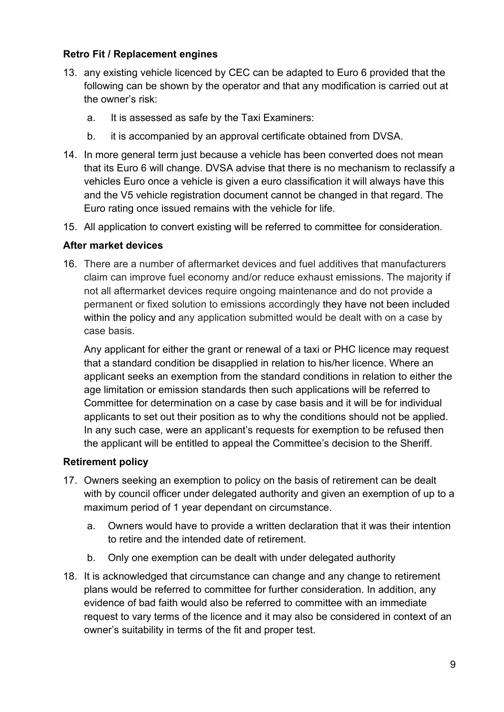#### **Retro Fit / Replacement engines**

- 13. any existing vehicle licenced by CEC can be adapted to Euro 6 provided that the following can be shown by the operator and that any modification is carried out at the owner's risk:
	- a. It is assessed as safe by the Taxi Examiners:
	- b. it is accompanied by an approval certificate obtained from DVSA.
- 14. In more general term just because a vehicle has been converted does not mean that its Euro 6 will change. DVSA advise that there is no mechanism to reclassify a vehicles Euro once a vehicle is given a euro classification it will always have this and the V5 vehicle registration document cannot be changed in that regard. The Euro rating once issued remains with the vehicle for life.
- 15. All application to convert existing will be referred to committee for consideration.

#### **After market devices**

16. There are a number of aftermarket devices and fuel additives that manufacturers claim can improve fuel economy and/or reduce exhaust emissions. The majority if not all aftermarket devices require ongoing maintenance and do not provide a permanent or fixed solution to emissions accordingly they have not been included within the policy and any application submitted would be dealt with on a case by case basis.

Any applicant for either the grant or renewal of a taxi or PHC licence may request that a standard condition be disapplied in relation to his/her licence. Where an applicant seeks an exemption from the standard conditions in relation to either the age limitation or emission standards then such applications will be referred to Committee for determination on a case by case basis and it will be for individual applicants to set out their position as to why the conditions should not be applied. In any such case, were an applicant's requests for exemption to be refused then the applicant will be entitled to appeal the Committee's decision to the Sheriff.

#### **Retirement policy**

- 17. Owners seeking an exemption to policy on the basis of retirement can be dealt with by council officer under delegated authority and given an exemption of up to a maximum period of 1 year dependant on circumstance.
	- a. Owners would have to provide a written declaration that it was their intention to retire and the intended date of retirement.
	- b. Only one exemption can be dealt with under delegated authority
- 18. It is acknowledged that circumstance can change and any change to retirement plans would be referred to committee for further consideration. In addition, any evidence of bad faith would also be referred to committee with an immediate request to vary terms of the licence and it may also be considered in context of an owner's suitability in terms of the fit and proper test.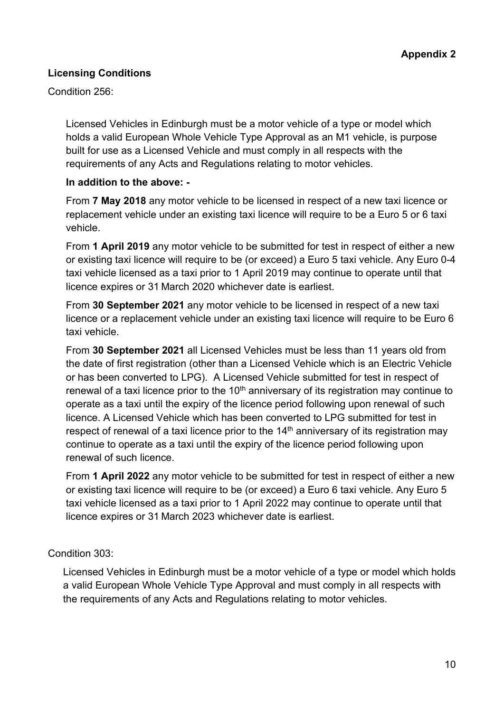#### **Licensing Conditions**

Condition 256:

Licensed Vehicles in Edinburgh must be a motor vehicle of a type or model which holds a valid European Whole Vehicle Type Approval as an M1 vehicle, is purpose built for use as a Licensed Vehicle and must comply in all respects with the requirements of any Acts and Regulations relating to motor vehicles.

#### **In addition to the above: -**

From **7 May 2018** any motor vehicle to be licensed in respect of a new taxi licence or replacement vehicle under an existing taxi licence will require to be a Euro 5 or 6 taxi vehicle.

From **1 April 2019** any motor vehicle to be submitted for test in respect of either a new or existing taxi licence will require to be (or exceed) a Euro 5 taxi vehicle. Any Euro 0-4 taxi vehicle licensed as a taxi prior to 1 April 2019 may continue to operate until that licence expires or 31 March 2020 whichever date is earliest.

From **30 September 2021** any motor vehicle to be licensed in respect of a new taxi licence or a replacement vehicle under an existing taxi licence will require to be Euro 6 taxi vehicle.

From **30 September 2021** all Licensed Vehicles must be less than 11 years old from the date of first registration (other than a Licensed Vehicle which is an Electric Vehicle or has been converted to LPG). A Licensed Vehicle submitted for test in respect of renewal of a taxi licence prior to the  $10<sup>th</sup>$  anniversary of its registration may continue to operate as a taxi until the expiry of the licence period following upon renewal of such licence. A Licensed Vehicle which has been converted to LPG submitted for test in respect of renewal of a taxi licence prior to the  $14<sup>th</sup>$  anniversary of its registration may continue to operate as a taxi until the expiry of the licence period following upon renewal of such licence.

From **1 April 2022** any motor vehicle to be submitted for test in respect of either a new or existing taxi licence will require to be (or exceed) a Euro 6 taxi vehicle. Any Euro 5 taxi vehicle licensed as a taxi prior to 1 April 2022 may continue to operate until that licence expires or 31 March 2023 whichever date is earliest.

#### Condition 303:

Licensed Vehicles in Edinburgh must be a motor vehicle of a type or model which holds a valid European Whole Vehicle Type Approval and must comply in all respects with the requirements of any Acts and Regulations relating to motor vehicles.